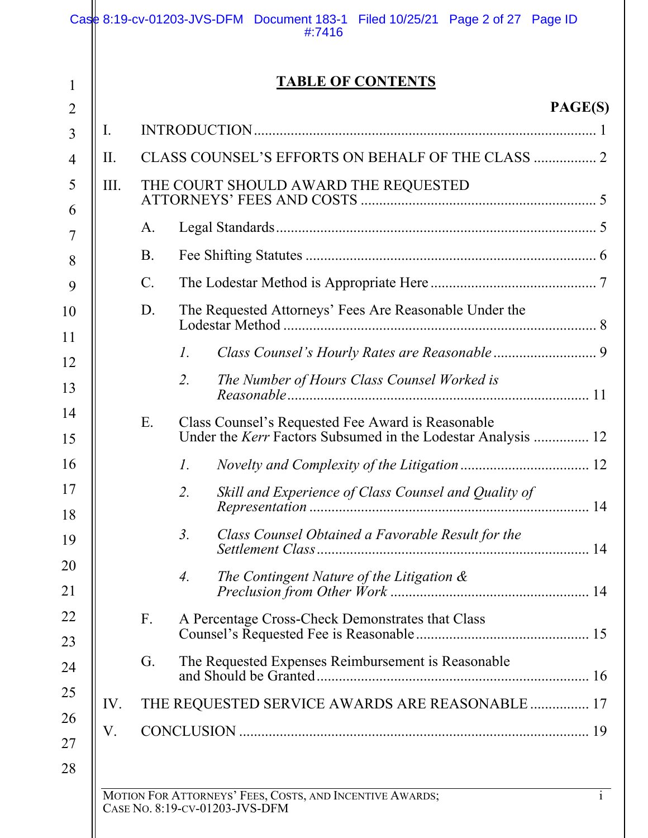|     |                                                | <b>TABLE OF CONTENTS</b>                                                                                          |  |  |
|-----|------------------------------------------------|-------------------------------------------------------------------------------------------------------------------|--|--|
|     |                                                | PAGE(S)                                                                                                           |  |  |
| I.  |                                                |                                                                                                                   |  |  |
| II. |                                                | CLASS COUNSEL'S EFFORTS ON BEHALF OF THE CLASS  2                                                                 |  |  |
| Ш.  | THE COURT SHOULD AWARD THE REQUESTED           |                                                                                                                   |  |  |
|     | A.                                             |                                                                                                                   |  |  |
|     | <b>B.</b>                                      |                                                                                                                   |  |  |
|     | $C$ .                                          |                                                                                                                   |  |  |
|     | D.                                             | The Requested Attorneys' Fees Are Reasonable Under the                                                            |  |  |
|     |                                                | $\overline{I}$ .                                                                                                  |  |  |
|     |                                                | The Number of Hours Class Counsel Worked is<br>2.                                                                 |  |  |
|     | Ε.                                             | Class Counsel's Requested Fee Award is Reasonable<br>Under the Kerr Factors Subsumed in the Lodestar Analysis  12 |  |  |
|     |                                                | Ι.                                                                                                                |  |  |
|     |                                                | 2.<br>Skill and Experience of Class Counsel and Quality of                                                        |  |  |
|     |                                                | 3 <sub>1</sub><br>Class Counsel Obtained a Favorable Result for the                                               |  |  |
|     |                                                | The Contingent Nature of the Litigation &<br>$\overline{4}$ .                                                     |  |  |
|     | F.                                             | A Percentage Cross-Check Demonstrates that Class                                                                  |  |  |
|     | G.                                             | The Requested Expenses Reimbursement is Reasonable                                                                |  |  |
| IV. | THE REQUESTED SERVICE AWARDS ARE REASONABLE 17 |                                                                                                                   |  |  |
| V.  |                                                |                                                                                                                   |  |  |

 $\mathbb{I}$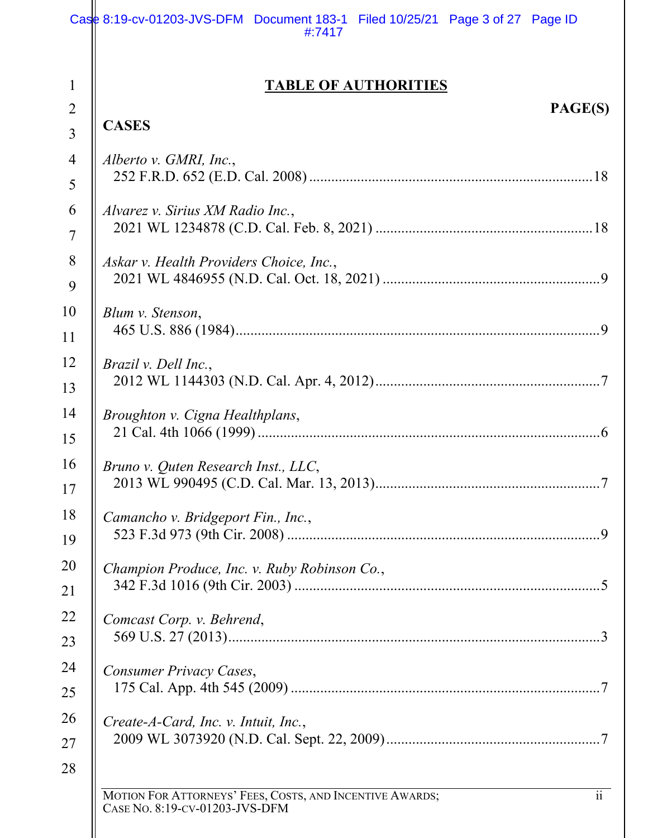|                | Case 8:19-cv-01203-JVS-DFM Document 183-1 Filed 10/25/21 Page 3 of 27 Page ID<br>#:7417                       |
|----------------|---------------------------------------------------------------------------------------------------------------|
| 1              | <b>TABLE OF AUTHORITIES</b>                                                                                   |
| $\overline{2}$ | PAGE(S)                                                                                                       |
| 3              | <b>CASES</b>                                                                                                  |
| $\overline{4}$ | Alberto v. GMRI, Inc.,                                                                                        |
| 5              |                                                                                                               |
| 6              | Alvarez v. Sirius XM Radio Inc.,                                                                              |
| $\overline{7}$ |                                                                                                               |
| 8              | Askar v. Health Providers Choice, Inc.,                                                                       |
| 9              |                                                                                                               |
| 10             | Blum v. Stenson,                                                                                              |
| 11             |                                                                                                               |
| 12             | Brazil v. Dell Inc.,                                                                                          |
| 13             |                                                                                                               |
| 14             | Broughton v. Cigna Healthplans,                                                                               |
| 15             |                                                                                                               |
| 16             | Bruno v. Quten Research Inst., LLC,                                                                           |
| 17             |                                                                                                               |
| 18             | Camancho v. Bridgeport Fin., Inc.,                                                                            |
| 19             |                                                                                                               |
| 20             | Champion Produce, Inc. v. Ruby Robinson Co.,                                                                  |
| 21             |                                                                                                               |
| 22             | Comcast Corp. v. Behrend,                                                                                     |
| 23             |                                                                                                               |
| 24             | Consumer Privacy Cases,                                                                                       |
| 25             |                                                                                                               |
| 26<br>27<br>28 | Create-A-Card, Inc. v. Intuit, Inc.,                                                                          |
|                | MOTION FOR ATTORNEYS' FEES, COSTS, AND INCENTIVE AWARDS;<br>$\overline{ii}$<br>CASE No. 8:19-CV-01203-JVS-DFM |

 $\overline{\phantom{a}}$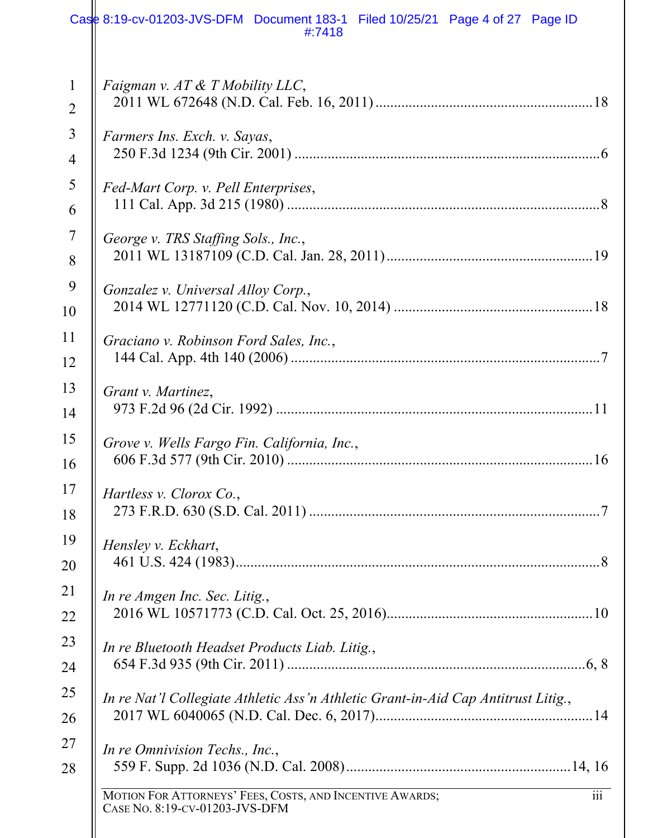|                | Case 8:19-cv-01203-JVS-DFM Document 183-1 Filed 10/25/21 Page 4 of 27 Page ID<br>#:7418                               |
|----------------|-----------------------------------------------------------------------------------------------------------------------|
| $\mathbf{1}$   | Faigman v. AT & T Mobility LLC,                                                                                       |
| $\overline{2}$ |                                                                                                                       |
| 3              | Farmers Ins. Exch. v. Sayas,                                                                                          |
| $\overline{4}$ |                                                                                                                       |
| 5              | Fed-Mart Corp. v. Pell Enterprises,                                                                                   |
| 6              |                                                                                                                       |
| 7              | George v. TRS Staffing Sols., Inc.,                                                                                   |
| 8              |                                                                                                                       |
| 9              | Gonzalez v. Universal Alloy Corp.,                                                                                    |
| 10             |                                                                                                                       |
| 11             | Graciano v. Robinson Ford Sales, Inc.,                                                                                |
| 12             |                                                                                                                       |
| 13             | Grant v. Martinez,                                                                                                    |
| 14             |                                                                                                                       |
| 15<br>16       | Grove v. Wells Fargo Fin. California, Inc.,                                                                           |
| 17             |                                                                                                                       |
| 18             | Hartless v. Clorox Co.,                                                                                               |
| 19             |                                                                                                                       |
| 20             | Hensley v. Eckhart,                                                                                                   |
| 21             |                                                                                                                       |
| 22             | In re Amgen Inc. Sec. Litig.,                                                                                         |
| 23             | In re Bluetooth Headset Products Liab. Litig.,                                                                        |
| 24             |                                                                                                                       |
| 25             | In re Nat'l Collegiate Athletic Ass'n Athletic Grant-in-Aid Cap Antitrust Litig.,                                     |
| 26             |                                                                                                                       |
| 27             | In re Omnivision Techs., Inc.,                                                                                        |
| 28             |                                                                                                                       |
|                | $\overline{\text{iii}}$<br>MOTION FOR ATTORNEYS' FEES, COSTS, AND INCENTIVE AWARDS;<br>CASE No. 8:19-CV-01203-JVS-DFM |
|                |                                                                                                                       |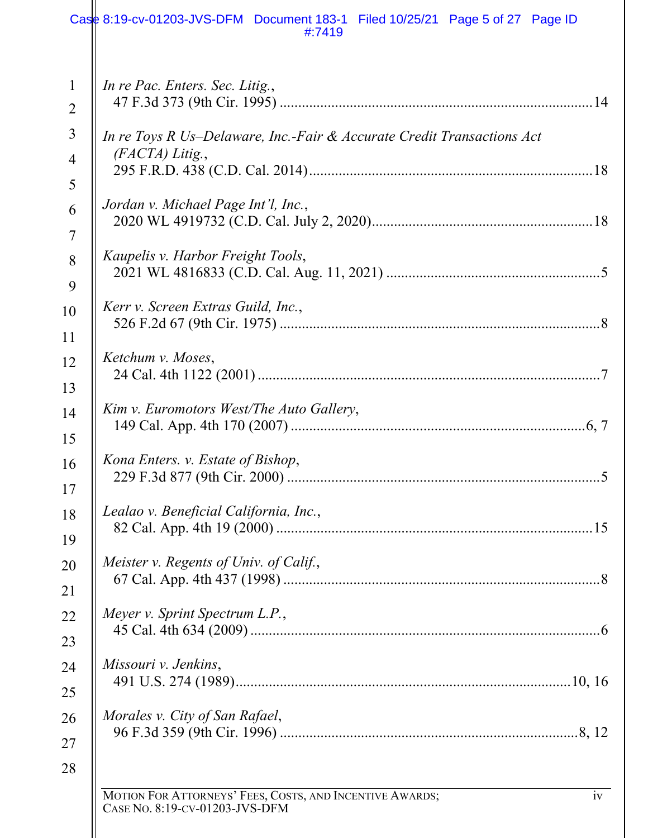#### Case 8:19-cv-01203-JVS-DFM Document 183-1 Filed 10/25/21 Page 5 of 27 Page ID #:7419

| In re Pac. Enters. Sec. Litig.,                                        |  |
|------------------------------------------------------------------------|--|
|                                                                        |  |
| In re Toys R Us-Delaware, Inc.-Fair & Accurate Credit Transactions Act |  |
| $(FACTA)$ Litig.,                                                      |  |
|                                                                        |  |
| Jordan v. Michael Page Int'l, Inc.,                                    |  |
|                                                                        |  |
| Kaupelis v. Harbor Freight Tools,                                      |  |
|                                                                        |  |
|                                                                        |  |
| Kerr v. Screen Extras Guild, Inc.,                                     |  |
|                                                                        |  |
| Ketchum v. Moses,                                                      |  |
|                                                                        |  |
| Kim v. Euromotors West/The Auto Gallery,                               |  |
|                                                                        |  |
| Kona Enters. v. Estate of Bishop,                                      |  |
|                                                                        |  |
| Lealao v. Beneficial California, Inc.,                                 |  |
|                                                                        |  |
|                                                                        |  |
| Meister v. Regents of Univ. of Calif.,                                 |  |
|                                                                        |  |
| Meyer v. Sprint Spectrum L.P.,                                         |  |
|                                                                        |  |
| Missouri v. Jenkins,                                                   |  |
|                                                                        |  |
| Morales v. City of San Rafael,                                         |  |
|                                                                        |  |
|                                                                        |  |
|                                                                        |  |
| MOTION FOR ATTORNEYS' FEES, COSTS, AND INCENTIVE AWARDS;               |  |

 $\overline{\phantom{a}}$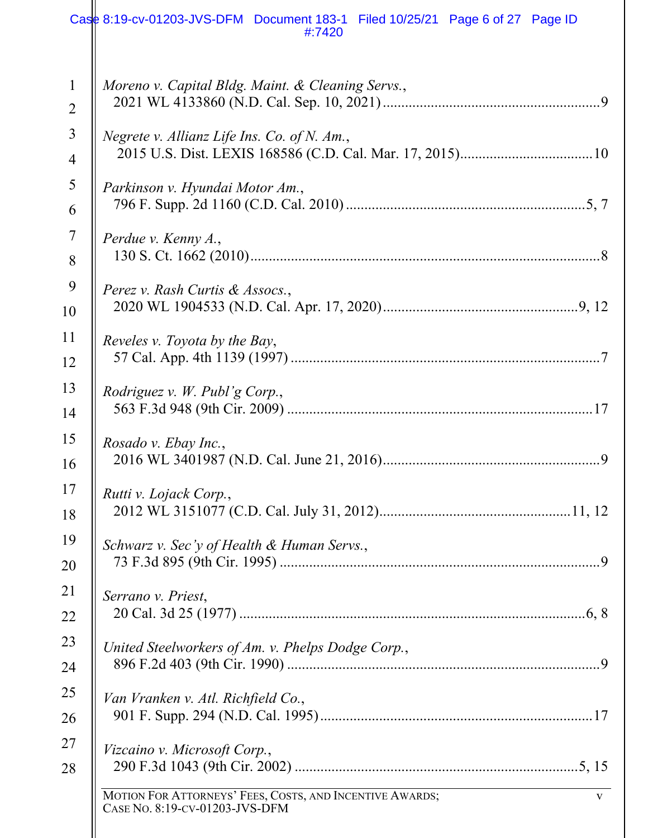|                | Case 8:19-cv-01203-JVS-DFM Document 183-1 Filed 10/25/21 Page 6 of 27 Page ID<br>#:7420                    |
|----------------|------------------------------------------------------------------------------------------------------------|
| $\mathbf{1}$   | Moreno v. Capital Bldg. Maint. & Cleaning Servs.,                                                          |
| $\overline{2}$ |                                                                                                            |
| 3              | Negrete v. Allianz Life Ins. Co. of N. Am.,                                                                |
| $\overline{4}$ |                                                                                                            |
| 5              | Parkinson v. Hyundai Motor Am.,                                                                            |
| 6              |                                                                                                            |
| $\overline{7}$ | Perdue v. Kenny A.,                                                                                        |
| 8              |                                                                                                            |
| 9              | Perez v. Rash Curtis & Assocs.,                                                                            |
| 10             |                                                                                                            |
| 11             | Reveles v. Toyota by the Bay,                                                                              |
| 12             |                                                                                                            |
| 13             | Rodriguez v. W. Publ'g Corp.,                                                                              |
| 14             |                                                                                                            |
| 15             | Rosado v. Ebay Inc.,                                                                                       |
| 16             |                                                                                                            |
| 17             | Rutti v. Lojack Corp.,                                                                                     |
| 18             |                                                                                                            |
| 19             | Schwarz v. Sec'y of Health & Human Servs.,                                                                 |
| 20             |                                                                                                            |
| 21             | Serrano v. Priest,                                                                                         |
| 22             |                                                                                                            |
| 23             | United Steelworkers of Am. v. Phelps Dodge Corp.,                                                          |
| 24             |                                                                                                            |
| 25             | Van Vranken v. Atl. Richfield Co.,                                                                         |
| 26             |                                                                                                            |
| 27             | Vizcaino v. Microsoft Corp.,                                                                               |
| 28             |                                                                                                            |
|                | MOTION FOR ATTORNEYS' FEES, COSTS, AND INCENTIVE AWARDS;<br>$\mathbf{V}$<br>CASE No. 8:19-CV-01203-JVS-DFM |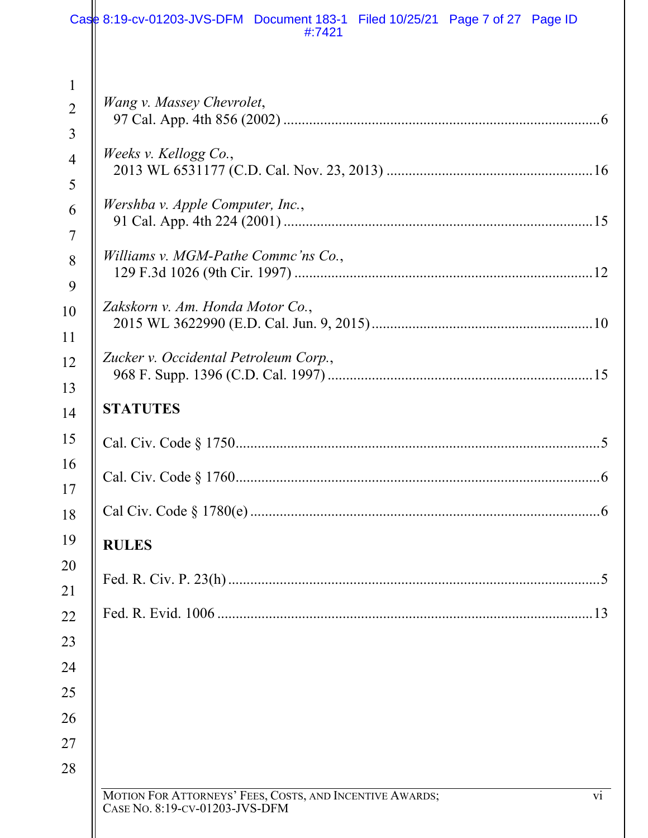|                                                  | Case 8:19-cv-01203-JVS-DFM Document 183-1 Filed 10/25/21 Page 7 of 27 Page ID<br>#:7421                     |
|--------------------------------------------------|-------------------------------------------------------------------------------------------------------------|
| $\mathbf{1}$<br>$\overline{2}$<br>$\overline{3}$ | Wang v. Massey Chevrolet,                                                                                   |
| $\overline{4}$<br>5                              | Weeks v. Kellogg Co.,                                                                                       |
| 6<br>$\overline{7}$                              | Wershba v. Apple Computer, Inc.,                                                                            |
| 8<br>9                                           | Williams v. MGM-Pathe Commc'ns Co.,                                                                         |
| 10<br>11                                         | Zakskorn v. Am. Honda Motor Co.,                                                                            |
| 12<br>13                                         | Zucker v. Occidental Petroleum Corp.,<br><b>STATUTES</b>                                                    |
| 14<br>15                                         |                                                                                                             |
| 16<br>17<br>18                                   |                                                                                                             |
| 19<br>20                                         | <b>RULES</b>                                                                                                |
| 21                                               |                                                                                                             |
| 22<br>23                                         | .13                                                                                                         |
| 24                                               |                                                                                                             |
| 25                                               |                                                                                                             |
| 26<br>27                                         |                                                                                                             |
| 28                                               |                                                                                                             |
|                                                  | MOTION FOR ATTORNEYS' FEES, COSTS, AND INCENTIVE AWARDS;<br>$\mathbf{vi}$<br>CASE No. 8:19-CV-01203-JVS-DFM |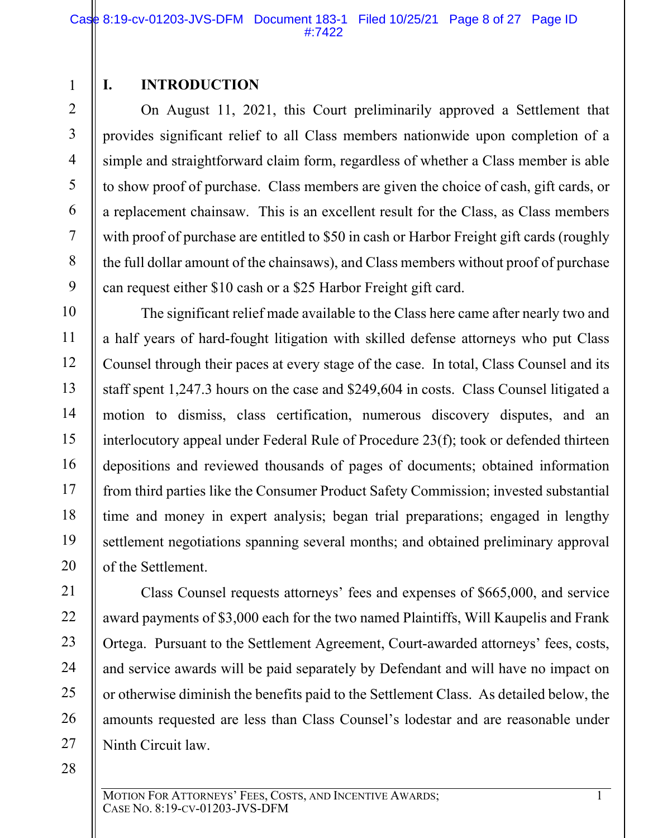3

4

5

6

7

8

9

10

11

12

13

14

15

16

17

18

# **I. INTRODUCTION**

On August 11, 2021, this Court preliminarily approved a Settlement that provides significant relief to all Class members nationwide upon completion of a simple and straightforward claim form, regardless of whether a Class member is able to show proof of purchase. Class members are given the choice of cash, gift cards, or a replacement chainsaw. This is an excellent result for the Class, as Class members with proof of purchase are entitled to \$50 in cash or Harbor Freight gift cards (roughly the full dollar amount of the chainsaws), and Class members without proof of purchase can request either \$10 cash or a \$25 Harbor Freight gift card.

The significant relief made available to the Class here came after nearly two and a half years of hard-fought litigation with skilled defense attorneys who put Class Counsel through their paces at every stage of the case. In total, Class Counsel and its staff spent 1,247.3 hours on the case and \$249,604 in costs. Class Counsel litigated a motion to dismiss, class certification, numerous discovery disputes, and an interlocutory appeal under Federal Rule of Procedure 23(f); took or defended thirteen depositions and reviewed thousands of pages of documents; obtained information from third parties like the Consumer Product Safety Commission; invested substantial time and money in expert analysis; began trial preparations; engaged in lengthy settlement negotiations spanning several months; and obtained preliminary approval of the Settlement.

Class Counsel requests attorneys' fees and expenses of \$665,000, and service award payments of \$3,000 each for the two named Plaintiffs, Will Kaupelis and Frank Ortega. Pursuant to the Settlement Agreement, Court-awarded attorneys' fees, costs, and service awards will be paid separately by Defendant and will have no impact on or otherwise diminish the benefits paid to the Settlement Class. As detailed below, the amounts requested are less than Class Counsel's lodestar and are reasonable under Ninth Circuit law.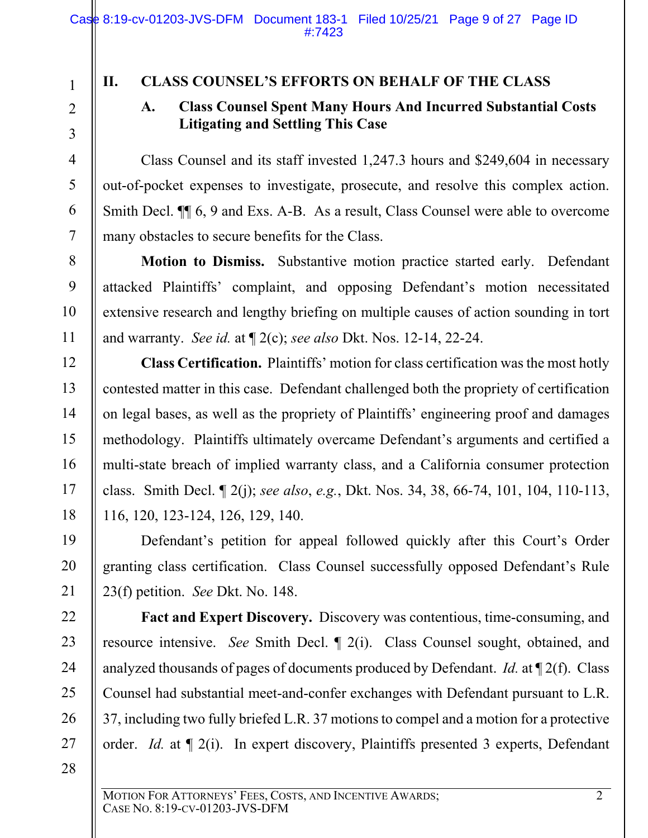1

3

4

5

6

7

8

9

10

11

12

13

14

15

16

17

18

19

20

21

22

23

24

25

26

27

# **II. CLASS COUNSEL'S EFFORTS ON BEHALF OF THE CLASS**

## **A. Class Counsel Spent Many Hours And Incurred Substantial Costs Litigating and Settling This Case**

Class Counsel and its staff invested 1,247.3 hours and \$249,604 in necessary out-of-pocket expenses to investigate, prosecute, and resolve this complex action. Smith Decl. ¶¶ 6, 9 and Exs. A-B. As a result, Class Counsel were able to overcome many obstacles to secure benefits for the Class.

**Motion to Dismiss.** Substantive motion practice started early. Defendant attacked Plaintiffs' complaint, and opposing Defendant's motion necessitated extensive research and lengthy briefing on multiple causes of action sounding in tort and warranty. *See id.* at ¶ 2(c); *see also* Dkt. Nos. 12-14, 22-24.

**Class Certification.** Plaintiffs' motion for class certification was the most hotly contested matter in this case. Defendant challenged both the propriety of certification on legal bases, as well as the propriety of Plaintiffs' engineering proof and damages methodology. Plaintiffs ultimately overcame Defendant's arguments and certified a multi-state breach of implied warranty class, and a California consumer protection class. Smith Decl. ¶ 2(j); *see also*, *e.g.*, Dkt. Nos. 34, 38, 66-74, 101, 104, 110-113, 116, 120, 123-124, 126, 129, 140.

Defendant's petition for appeal followed quickly after this Court's Order granting class certification. Class Counsel successfully opposed Defendant's Rule 23(f) petition. *See* Dkt. No. 148.

**Fact and Expert Discovery.** Discovery was contentious, time-consuming, and resource intensive. *See* Smith Decl. ¶ 2(i). Class Counsel sought, obtained, and analyzed thousands of pages of documents produced by Defendant. *Id.* at ¶ 2(f). Class Counsel had substantial meet-and-confer exchanges with Defendant pursuant to L.R. 37, including two fully briefed L.R. 37 motions to compel and a motion for a protective order. *Id.* at ¶ 2(i). In expert discovery, Plaintiffs presented 3 experts, Defendant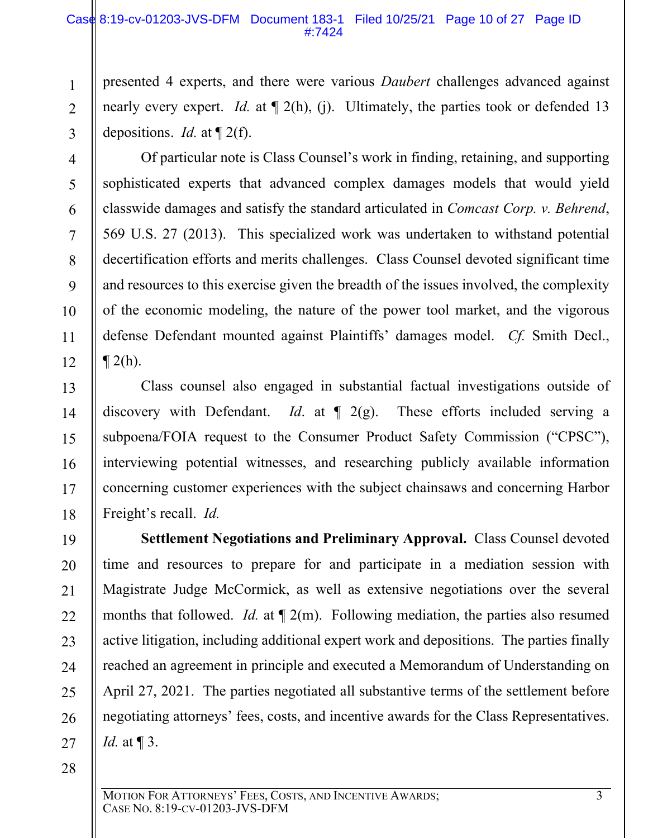presented 4 experts, and there were various *Daubert* challenges advanced against nearly every expert. *Id.* at  $\P$  2(h), (j). Ultimately, the parties took or defended 13 depositions. *Id.* at ¶ 2(f).

Of particular note is Class Counsel's work in finding, retaining, and supporting sophisticated experts that advanced complex damages models that would yield classwide damages and satisfy the standard articulated in *Comcast Corp. v. Behrend*, 569 U.S. 27 (2013). This specialized work was undertaken to withstand potential decertification efforts and merits challenges. Class Counsel devoted significant time and resources to this exercise given the breadth of the issues involved, the complexity of the economic modeling, the nature of the power tool market, and the vigorous defense Defendant mounted against Plaintiffs' damages model. *Cf.* Smith Decl.,  $\P$  2(h).

Class counsel also engaged in substantial factual investigations outside of discovery with Defendant. *Id*. at ¶ 2(g). These efforts included serving a subpoena/FOIA request to the Consumer Product Safety Commission ("CPSC"), interviewing potential witnesses, and researching publicly available information concerning customer experiences with the subject chainsaws and concerning Harbor Freight's recall. *Id.* 

**Settlement Negotiations and Preliminary Approval.** Class Counsel devoted time and resources to prepare for and participate in a mediation session with Magistrate Judge McCormick, as well as extensive negotiations over the several months that followed. *Id.* at  $\P$  2(m). Following mediation, the parties also resumed active litigation, including additional expert work and depositions. The parties finally reached an agreement in principle and executed a Memorandum of Understanding on April 27, 2021. The parties negotiated all substantive terms of the settlement before negotiating attorneys' fees, costs, and incentive awards for the Class Representatives. *Id.* at ¶ 3.

28

1

2

3

4

5

6

7

8

9

10

11

12

13

14

15

16

17

18

19

20

21

22

23

24

25

26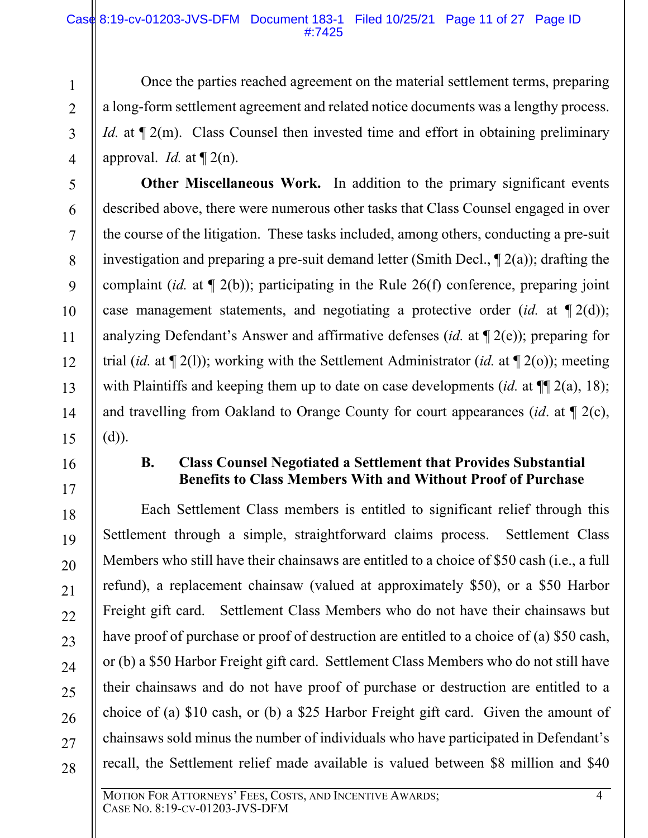#### Case 8:19-cv-01203-JVS-DFM Document 183-1 Filed 10/25/21 Page 11 of 27 Page ID #:7425

Once the parties reached agreement on the material settlement terms, preparing a long-form settlement agreement and related notice documents was a lengthy process. *Id.* at  $\sqrt{2}$ (m). Class Counsel then invested time and effort in obtaining preliminary approval. *Id.* at  $\P$  2(n).

**Other Miscellaneous Work.** In addition to the primary significant events described above, there were numerous other tasks that Class Counsel engaged in over the course of the litigation. These tasks included, among others, conducting a pre-suit investigation and preparing a pre-suit demand letter (Smith Decl.,  $\P$  2(a)); drafting the complaint (*id.* at ¶ 2(b)); participating in the Rule 26(f) conference, preparing joint case management statements, and negotiating a protective order (*id.* at ¶ 2(d)); analyzing Defendant's Answer and affirmative defenses (*id.* at ¶ 2(e)); preparing for trial (*id.* at ¶ 2(l)); working with the Settlement Administrator (*id.* at ¶ 2(o)); meeting with Plaintiffs and keeping them up to date on case developments *(id.* at  $\P$ [2(a), 18); and travelling from Oakland to Orange County for court appearances (*id*. at ¶ 2(c), (d)).

1

2

3

4

5

6

7

8

9

10

11

12

13

14

15

16

17

18

19

20

21

22

23

24

25

26

27

28

#### **B. Class Counsel Negotiated a Settlement that Provides Substantial Benefits to Class Members With and Without Proof of Purchase**

Each Settlement Class members is entitled to significant relief through this Settlement through a simple, straightforward claims process. Settlement Class Members who still have their chainsaws are entitled to a choice of \$50 cash (i.e., a full refund), a replacement chainsaw (valued at approximately \$50), or a \$50 Harbor Freight gift card. Settlement Class Members who do not have their chainsaws but have proof of purchase or proof of destruction are entitled to a choice of (a) \$50 cash, or (b) a \$50 Harbor Freight gift card. Settlement Class Members who do not still have their chainsaws and do not have proof of purchase or destruction are entitled to a choice of (a) \$10 cash, or (b) a \$25 Harbor Freight gift card. Given the amount of chainsaws sold minus the number of individuals who have participated in Defendant's recall, the Settlement relief made available is valued between \$8 million and \$40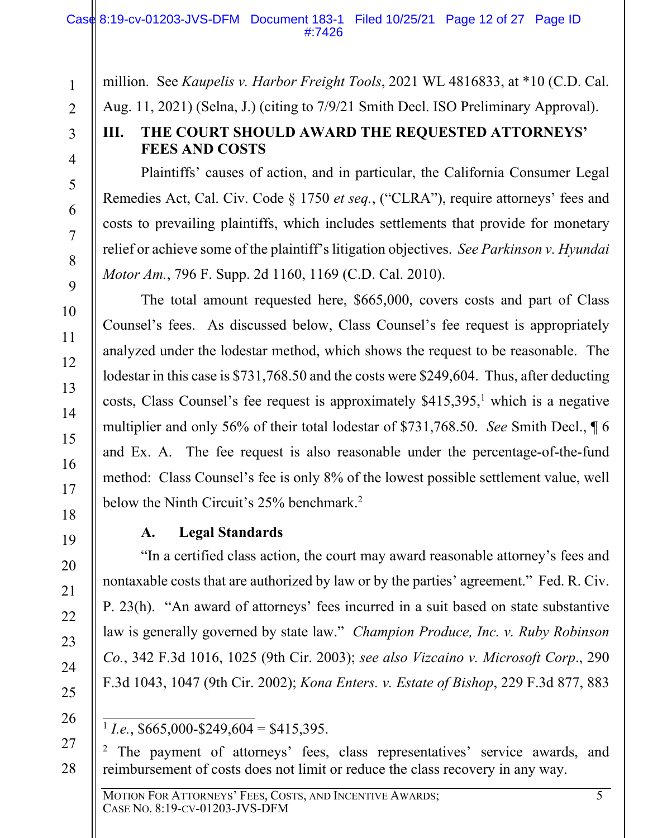million. See *Kaupelis v. Harbor Freight Tools*, 2021 WL 4816833, at \*10 (C.D. Cal.

Aug. 11, 2021) (Selna, J.) (citing to 7/9/21 Smith Decl. ISO Preliminary Approval).

# **III. THE COURT SHOULD AWARD THE REQUESTED ATTORNEYS' FEES AND COSTS**

Plaintiffs' causes of action, and in particular, the California Consumer Legal Remedies Act, Cal. Civ. Code § 1750 *et seq.*, ("CLRA"), require attorneys' fees and costs to prevailing plaintiffs, which includes settlements that provide for monetary relief or achieve some of the plaintiff's litigation objectives. *See Parkinson v. Hyundai Motor Am.*, 796 F. Supp. 2d 1160, 1169 (C.D. Cal. 2010).

The total amount requested here, \$665,000, covers costs and part of Class Counsel's fees. As discussed below, Class Counsel's fee request is appropriately analyzed under the lodestar method, which shows the request to be reasonable. The lodestar in this case is \$731,768.50 and the costs were \$249,604. Thus, after deducting costs, Class Counsel's fee request is approximately  $$415,395$ , which is a negative multiplier and only 56% of their total lodestar of \$731,768.50. *See* Smith Decl., ¶ 6 and Ex. A. The fee request is also reasonable under the percentage-of-the-fund method: Class Counsel's fee is only 8% of the lowest possible settlement value, well below the Ninth Circuit's 25% benchmark.<sup>2</sup>

# **A. Legal Standards**

"In a certified class action, the court may award reasonable attorney's fees and nontaxable costs that are authorized by law or by the parties' agreement." Fed. R. Civ. P. 23(h). "An award of attorneys' fees incurred in a suit based on state substantive law is generally governed by state law." *Champion Produce, Inc. v. Ruby Robinson Co.*, 342 F.3d 1016, 1025 (9th Cir. 2003); *see also Vizcaino v. Microsoft Corp*., 290 F.3d 1043, 1047 (9th Cir. 2002); *Kona Enters. v. Estate of Bishop*, 229 F.3d 877, 883

28

1

2

3

4

5

6

7

8

9

10

11

12

13

14

15

16

17

18

19

20

21

22

23

24

25

2 The payment of attorneys' fees, class representatives' service awards, and reimbursement of costs does not limit or reduce the class recovery in any way.

<sup>26</sup>  27

 $1 Le.$ , \$665,000-\$249,604 = \$415,395.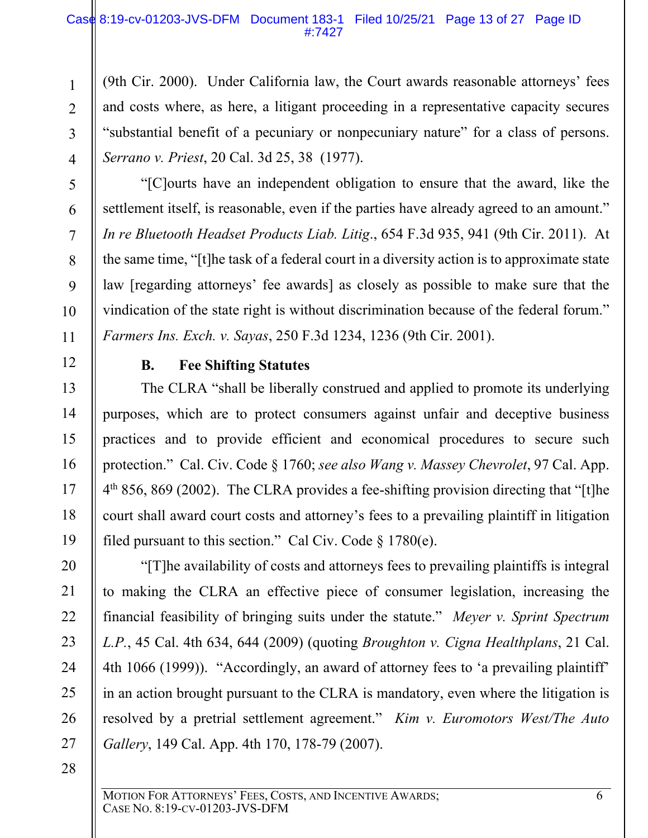(9th Cir. 2000). Under California law, the Court awards reasonable attorneys' fees and costs where, as here, a litigant proceeding in a representative capacity secures "substantial benefit of a pecuniary or nonpecuniary nature" for a class of persons. *Serrano v. Priest*, 20 Cal. 3d 25, 38 (1977).

"[C]ourts have an independent obligation to ensure that the award, like the settlement itself, is reasonable, even if the parties have already agreed to an amount." *In re Bluetooth Headset Products Liab. Litig*., 654 F.3d 935, 941 (9th Cir. 2011). At the same time, "[t]he task of a federal court in a diversity action is to approximate state law [regarding attorneys' fee awards] as closely as possible to make sure that the vindication of the state right is without discrimination because of the federal forum." *Farmers Ins. Exch. v. Sayas*, 250 F.3d 1234, 1236 (9th Cir. 2001).

## **B. Fee Shifting Statutes**

The CLRA "shall be liberally construed and applied to promote its underlying purposes, which are to protect consumers against unfair and deceptive business practices and to provide efficient and economical procedures to secure such protection." Cal. Civ. Code § 1760; *see also Wang v. Massey Chevrolet*, 97 Cal. App. 4th 856, 869 (2002). The CLRA provides a fee-shifting provision directing that "[t]he court shall award court costs and attorney's fees to a prevailing plaintiff in litigation filed pursuant to this section." Cal Civ. Code § 1780(e).

"[T]he availability of costs and attorneys fees to prevailing plaintiffs is integral to making the CLRA an effective piece of consumer legislation, increasing the financial feasibility of bringing suits under the statute." *Meyer v. Sprint Spectrum L.P.*, 45 Cal. 4th 634, 644 (2009) (quoting *Broughton v. Cigna Healthplans*, 21 Cal. 4th 1066 (1999)). "Accordingly, an award of attorney fees to 'a prevailing plaintiff' in an action brought pursuant to the CLRA is mandatory, even where the litigation is resolved by a pretrial settlement agreement." *Kim v. Euromotors West/The Auto Gallery*, 149 Cal. App. 4th 170, 178-79 (2007).

28

1

2

3

4

5

6

7

8

9

10

11

12

13

14

15

16

17

18

19

20

21

22

23

24

25

26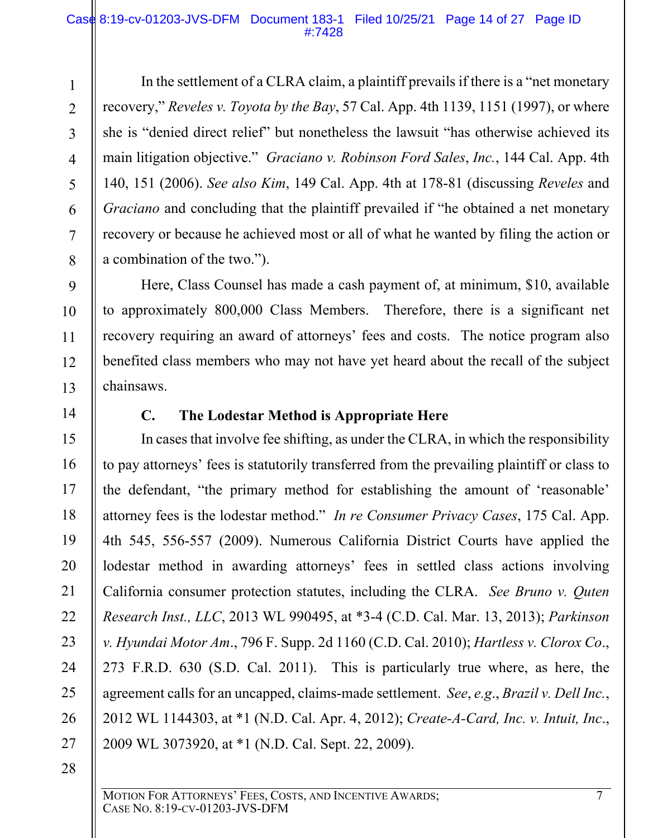#### Case 8:19-cv-01203-JVS-DFM Document 183-1 Filed 10/25/21 Page 14 of 27 Page ID #:7428

In the settlement of a CLRA claim, a plaintiff prevails if there is a "net monetary recovery," *Reveles v. Toyota by the Bay*, 57 Cal. App. 4th 1139, 1151 (1997), or where she is "denied direct relief" but nonetheless the lawsuit "has otherwise achieved its main litigation objective." *Graciano v. Robinson Ford Sales*, *Inc.*, 144 Cal. App. 4th 140, 151 (2006). *See also Kim*, 149 Cal. App. 4th at 178-81 (discussing *Reveles* and *Graciano* and concluding that the plaintiff prevailed if "he obtained a net monetary recovery or because he achieved most or all of what he wanted by filing the action or a combination of the two.").

 Here, Class Counsel has made a cash payment of, at minimum, \$10, available to approximately 800,000 Class Members. Therefore, there is a significant net recovery requiring an award of attorneys' fees and costs. The notice program also benefited class members who may not have yet heard about the recall of the subject chainsaws.

1

2

3

4

5

6

7

8

9

10

11

12

13

14

15

16

17

18

19

20

21

22

23

24

25

26

27

### **C. The Lodestar Method is Appropriate Here**

In cases that involve fee shifting, as under the CLRA, in which the responsibility to pay attorneys' fees is statutorily transferred from the prevailing plaintiff or class to the defendant, "the primary method for establishing the amount of 'reasonable' attorney fees is the lodestar method." *In re Consumer Privacy Cases*, 175 Cal. App. 4th 545, 556-557 (2009). Numerous California District Courts have applied the lodestar method in awarding attorneys' fees in settled class actions involving California consumer protection statutes, including the CLRA. *See Bruno v. Quten Research Inst., LLC*, 2013 WL 990495, at \*3-4 (C.D. Cal. Mar. 13, 2013); *Parkinson v. Hyundai Motor Am*., 796 F. Supp. 2d 1160 (C.D. Cal. 2010); *Hartless v. Clorox Co*., 273 F.R.D. 630 (S.D. Cal. 2011). This is particularly true where, as here, the agreement calls for an uncapped, claims-made settlement. *See*, *e.g*., *Brazil v. Dell Inc.*, 2012 WL 1144303, at \*1 (N.D. Cal. Apr. 4, 2012); *Create-A-Card, Inc. v. Intuit, Inc*., 2009 WL 3073920, at \*1 (N.D. Cal. Sept. 22, 2009).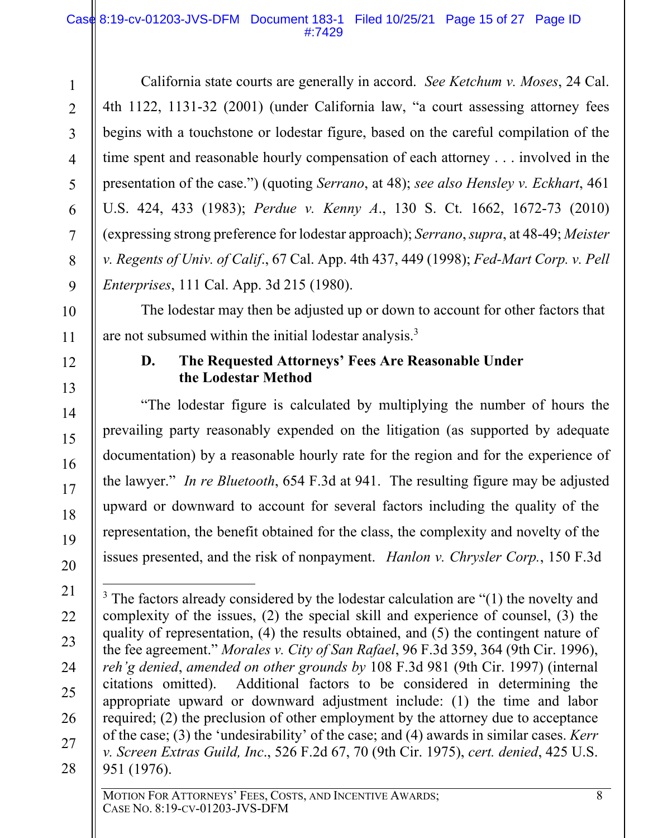2

3

4

5

6

7

8

9

10

11

12

13

14

15

16

17

18

19

20

21

22

23

25

27

28

California state courts are generally in accord. *See Ketchum v. Moses*, 24 Cal. 4th 1122, 1131-32 (2001) (under California law, "a court assessing attorney fees begins with a touchstone or lodestar figure, based on the careful compilation of the time spent and reasonable hourly compensation of each attorney . . . involved in the presentation of the case.") (quoting *Serrano*, at 48); *see also Hensley v. Eckhart*, 461 U.S. 424, 433 (1983); *Perdue v. Kenny A*., 130 S. Ct. 1662, 1672-73 (2010) (expressing strong preference for lodestar approach); *Serrano*, *supra*, at 48-49; *Meister v. Regents of Univ. of Calif*., 67 Cal. App. 4th 437, 449 (1998); *Fed-Mart Corp. v. Pell Enterprises*, 111 Cal. App. 3d 215 (1980).

The lodestar may then be adjusted up or down to account for other factors that are not subsumed within the initial lodestar analysis.<sup>3</sup>

## **D. The Requested Attorneys' Fees Are Reasonable Under the Lodestar Method**

"The lodestar figure is calculated by multiplying the number of hours the prevailing party reasonably expended on the litigation (as supported by adequate documentation) by a reasonable hourly rate for the region and for the experience of the lawyer." *In re Bluetooth*, 654 F.3d at 941. The resulting figure may be adjusted upward or downward to account for several factors including the quality of the representation, the benefit obtained for the class, the complexity and novelty of the issues presented, and the risk of nonpayment. *Hanlon v. Chrysler Corp.*, 150 F.3d

<sup>24</sup>  26  $3$  The factors already considered by the lodestar calculation are " $(1)$  the novelty and complexity of the issues, (2) the special skill and experience of counsel, (3) the quality of representation, (4) the results obtained, and (5) the contingent nature of the fee agreement." *Morales v. City of San Rafael*, 96 F.3d 359, 364 (9th Cir. 1996), *reh'g denied*, *amended on other grounds by* 108 F.3d 981 (9th Cir. 1997) (internal citations omitted). Additional factors to be considered in determining the appropriate upward or downward adjustment include: (1) the time and labor required; (2) the preclusion of other employment by the attorney due to acceptance of the case; (3) the 'undesirability' of the case; and (4) awards in similar cases. *Kerr v. Screen Extras Guild, Inc*., 526 F.2d 67, 70 (9th Cir. 1975), *cert. denied*, 425 U.S. 951 (1976).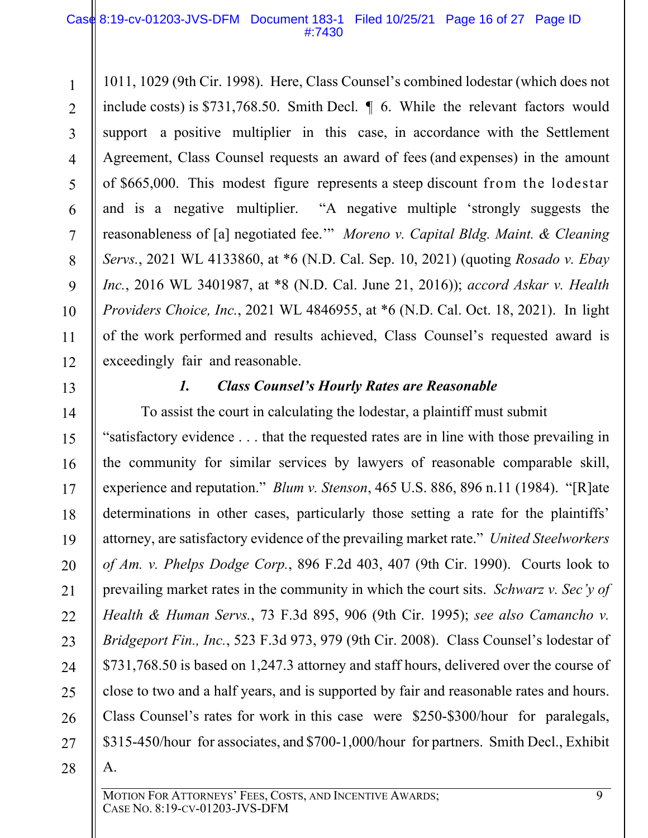1 2 3 4 5 6 7 8 9 10 11 12 1011, 1029 (9th Cir. 1998). Here, Class Counsel's combined lodestar (which does not include costs) is \$731,768.50. Smith Decl. ¶ 6. While the relevant factors would support a positive multiplier in this case, in accordance with the Settlement Agreement, Class Counsel requests an award of fees (and expenses) in the amount of \$665,000. This modest figure represents a steep discount from the lodestar and is a negative multiplier. "A negative multiple 'strongly suggests the reasonableness of [a] negotiated fee.'" *Moreno v. Capital Bldg. Maint. & Cleaning Servs.*, 2021 WL 4133860, at \*6 (N.D. Cal. Sep. 10, 2021) (quoting *Rosado v. Ebay Inc.*, 2016 WL 3401987, at \*8 (N.D. Cal. June 21, 2016)); *accord Askar v. Health Providers Choice, Inc.*, 2021 WL 4846955, at \*6 (N.D. Cal. Oct. 18, 2021). In light of the work performed and results achieved, Class Counsel's requested award is exceedingly fair and reasonable.

13

14

15

16

17

18

19

20

21

22

23

24

25

26

27

# *1. Class Counsel's Hourly Rates are Reasonable*

To assist the court in calculating the lodestar, a plaintiff must submit "satisfactory evidence . . . that the requested rates are in line with those prevailing in the community for similar services by lawyers of reasonable comparable skill, experience and reputation." *Blum v. Stenson*, 465 U.S. 886, 896 n.11 (1984). "[R]ate determinations in other cases, particularly those setting a rate for the plaintiffs' attorney, are satisfactory evidence of the prevailing market rate." *United Steelworkers of Am. v. Phelps Dodge Corp.*, 896 F.2d 403, 407 (9th Cir. 1990). Courts look to prevailing market rates in the community in which the court sits. *Schwarz v. Sec'y of Health & Human Servs.*, 73 F.3d 895, 906 (9th Cir. 1995); *see also Camancho v. Bridgeport Fin., Inc.*, 523 F.3d 973, 979 (9th Cir. 2008). Class Counsel's lodestar of \$731,768.50 is based on 1,247.3 attorney and staff hours, delivered over the course of close to two and a half years, and is supported by fair and reasonable rates and hours. Class Counsel's rates for work in this case were \$250-\$300/hour for paralegals, \$315-450/hour for associates, and \$700-1,000/hour for partners. Smith Decl., Exhibit

28

A.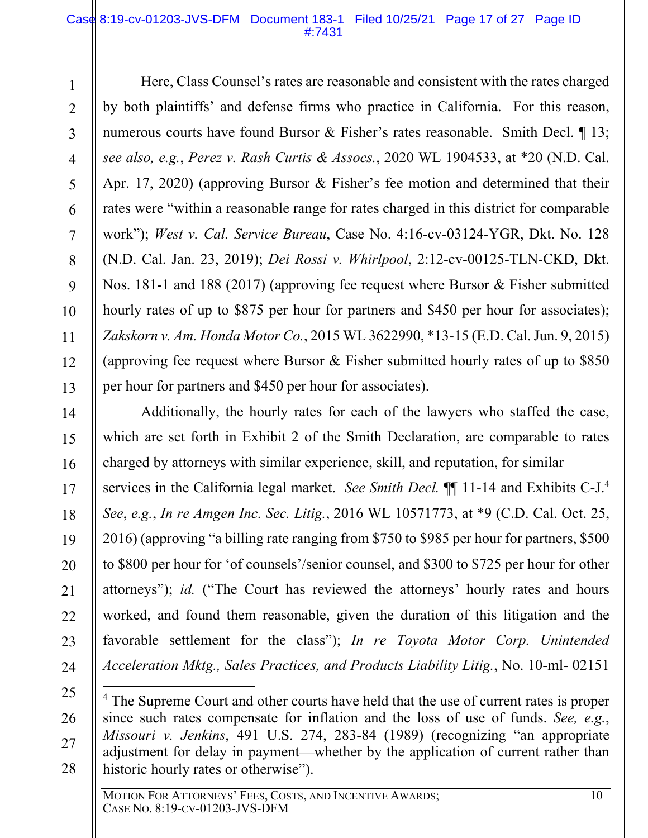### Case 8:19-cv-01203-JVS-DFM Document 183-1 Filed 10/25/21 Page 17 of 27 Page ID #:7431

27

28

1

2

3

4

5

Here, Class Counsel's rates are reasonable and consistent with the rates charged by both plaintiffs' and defense firms who practice in California. For this reason, numerous courts have found Bursor & Fisher's rates reasonable. Smith Decl. 13; *see also, e.g.*, *Perez v. Rash Curtis & Assocs.*, 2020 WL 1904533, at \*20 (N.D. Cal. Apr. 17, 2020) (approving Bursor & Fisher's fee motion and determined that their rates were "within a reasonable range for rates charged in this district for comparable work"); *West v. Cal. Service Bureau*, Case No. 4:16-cv-03124-YGR, Dkt. No. 128 (N.D. Cal. Jan. 23, 2019); *Dei Rossi v. Whirlpool*, 2:12-cv-00125-TLN-CKD, Dkt. Nos. 181-1 and 188 (2017) (approving fee request where Bursor & Fisher submitted hourly rates of up to \$875 per hour for partners and \$450 per hour for associates); *Zakskorn v. Am. Honda Motor Co.*, 2015 WL 3622990, \*13-15 (E.D. Cal. Jun. 9, 2015) (approving fee request where Bursor & Fisher submitted hourly rates of up to \$850 per hour for partners and \$450 per hour for associates).

Additionally, the hourly rates for each of the lawyers who staffed the case, which are set forth in Exhibit 2 of the Smith Declaration, are comparable to rates charged by attorneys with similar experience, skill, and reputation, for similar services in the California legal market. *See Smith Decl.* ¶¶ 11-14 and Exhibits C-J.4 *See*, *e.g.*, *In re Amgen Inc. Sec. Litig.*, 2016 WL 10571773, at \*9 (C.D. Cal. Oct. 25, 2016) (approving "a billing rate ranging from \$750 to \$985 per hour for partners, \$500 to \$800 per hour for 'of counsels'/senior counsel, and \$300 to \$725 per hour for other attorneys"); *id.* ("The Court has reviewed the attorneys' hourly rates and hours worked, and found them reasonable, given the duration of this litigation and the favorable settlement for the class"); *In re Toyota Motor Corp. Unintended Acceleration Mktg., Sales Practices, and Products Liability Litig.*, No. 10-ml- 02151

<sup>&</sup>lt;sup>4</sup> The Supreme Court and other courts have held that the use of current rates is proper since such rates compensate for inflation and the loss of use of funds. *See, e.g.*, *Missouri v. Jenkins*, 491 U.S. 274, 283-84 (1989) (recognizing "an appropriate adjustment for delay in payment—whether by the application of current rather than historic hourly rates or otherwise").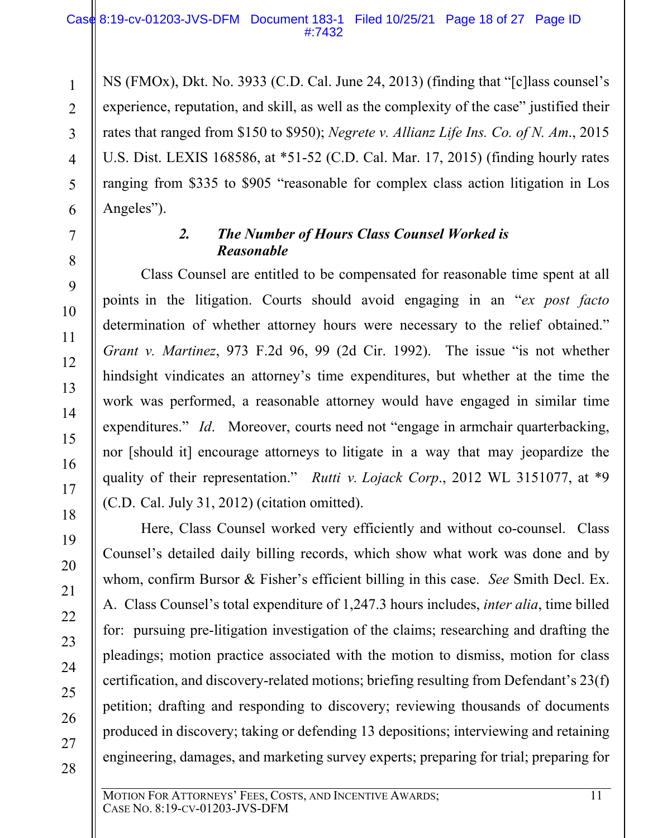2

3

4

5

6

7

8

9

10

11

12

13

14

15

16

17

18

19

20

21

22

23

24

25

26

27

28

NS (FMOx), Dkt. No. 3933 (C.D. Cal. June 24, 2013) (finding that "[c]lass counsel's experience, reputation, and skill, as well as the complexity of the case" justified their rates that ranged from \$150 to \$950); *Negrete v. Allianz Life Ins. Co. of N. Am*., 2015 U.S. Dist. LEXIS 168586, at \*51-52 (C.D. Cal. Mar. 17, 2015) (finding hourly rates ranging from \$335 to \$905 "reasonable for complex class action litigation in Los Angeles").

## *2. The Number of Hours Class Counsel Worked is Reasonable*

Class Counsel are entitled to be compensated for reasonable time spent at all points in the litigation. Courts should avoid engaging in an "*ex post facto* determination of whether attorney hours were necessary to the relief obtained." *Grant v. Martinez*, 973 F.2d 96, 99 (2d Cir. 1992). The issue "is not whether hindsight vindicates an attorney's time expenditures, but whether at the time the work was performed, a reasonable attorney would have engaged in similar time expenditures." *Id*. Moreover, courts need not "engage in armchair quarterbacking, nor [should it] encourage attorneys to litigate in a way that may jeopardize the quality of their representation." *Rutti v. Lojack Corp*., 2012 WL 3151077, at \*9 (C.D. Cal. July 31, 2012) (citation omitted).

Here, Class Counsel worked very efficiently and without co-counsel. Class Counsel's detailed daily billing records, which show what work was done and by whom, confirm Bursor & Fisher's efficient billing in this case. *See* Smith Decl. Ex. A. Class Counsel's total expenditure of 1,247.3 hours includes, *inter alia*, time billed for: pursuing pre-litigation investigation of the claims; researching and drafting the pleadings; motion practice associated with the motion to dismiss, motion for class certification, and discovery-related motions; briefing resulting from Defendant's 23(f) petition; drafting and responding to discovery; reviewing thousands of documents produced in discovery; taking or defending 13 depositions; interviewing and retaining engineering, damages, and marketing survey experts; preparing for trial; preparing for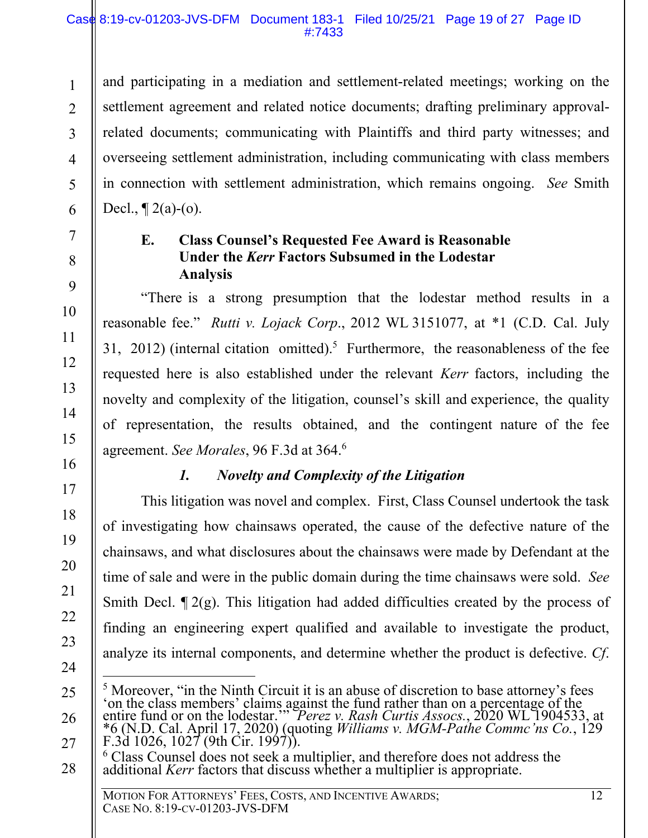2

3

4

5

6

7

8

9

10

11

12

13

14

15

16

17

18

19

20

21

22

23

24

25

26

27

28

and participating in a mediation and settlement-related meetings; working on the settlement agreement and related notice documents; drafting preliminary approvalrelated documents; communicating with Plaintiffs and third party witnesses; and overseeing settlement administration, including communicating with class members in connection with settlement administration, which remains ongoing. *See* Smith Decl.,  $\P$  2(a)-(o).

## **E. Class Counsel's Requested Fee Award is Reasonable Under the** *Kerr* **Factors Subsumed in the Lodestar Analysis**

"There is a strong presumption that the lodestar method results in a reasonable fee." *Rutti v. Lojack Corp*., 2012 WL 3151077, at \*1 (C.D. Cal. July 31, 2012) (internal citation omitted).<sup>5</sup> Furthermore, the reasonableness of the fee requested here is also established under the relevant *Kerr* factors, including the novelty and complexity of the litigation, counsel's skill and experience, the quality of representation, the results obtained, and the contingent nature of the fee agreement. *See Morales*, 96 F.3d at 364.6

# *1. Novelty and Complexity of the Litigation*

This litigation was novel and complex. First, Class Counsel undertook the task of investigating how chainsaws operated, the cause of the defective nature of the chainsaws, and what disclosures about the chainsaws were made by Defendant at the time of sale and were in the public domain during the time chainsaws were sold. *See* Smith Decl.  $\mathbb{I}$  2(g). This litigation had added difficulties created by the process of finding an engineering expert qualified and available to investigate the product, analyze its internal components, and determine whether the product is defective. *Cf*.

<sup>&</sup>lt;sup>5</sup> Moreover, "in the Ninth Circuit it is an abuse of discretion to base attorney's fees Fig. 1026, 1027 (9th Cir. 1997)).<br>F.3d 1026, 1027 (9th Cir. 1997)).

<sup>6</sup> Class Counsel does not seek a multiplier, and therefore does not address the additional *Kerr* factors that discuss whether a multiplier is appropriate.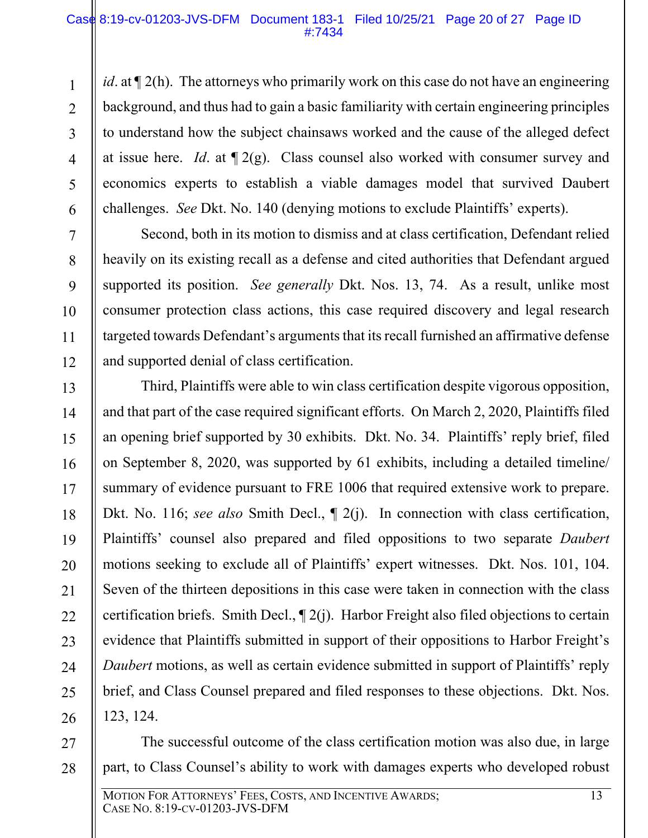2

3

4

5

6

7

8

9

10

11

12

13

14

15

16

17

18

19

20

21

22

23

24

25

26

*id*. at  $\P$  2(h). The attorneys who primarily work on this case do not have an engineering background, and thus had to gain a basic familiarity with certain engineering principles to understand how the subject chainsaws worked and the cause of the alleged defect at issue here. *Id*. at ¶ 2(g). Class counsel also worked with consumer survey and economics experts to establish a viable damages model that survived Daubert challenges. *See* Dkt. No. 140 (denying motions to exclude Plaintiffs' experts).

Second, both in its motion to dismiss and at class certification, Defendant relied heavily on its existing recall as a defense and cited authorities that Defendant argued supported its position. *See generally* Dkt. Nos. 13, 74. As a result, unlike most consumer protection class actions, this case required discovery and legal research targeted towards Defendant's arguments that its recall furnished an affirmative defense and supported denial of class certification.

Third, Plaintiffs were able to win class certification despite vigorous opposition, and that part of the case required significant efforts. On March 2, 2020, Plaintiffs filed an opening brief supported by 30 exhibits. Dkt. No. 34. Plaintiffs' reply brief, filed on September 8, 2020, was supported by 61 exhibits, including a detailed timeline/ summary of evidence pursuant to FRE 1006 that required extensive work to prepare. Dkt. No. 116; *see also* Smith Decl.,  $\parallel$  2(j). In connection with class certification, Plaintiffs' counsel also prepared and filed oppositions to two separate *Daubert*  motions seeking to exclude all of Plaintiffs' expert witnesses. Dkt. Nos. 101, 104. Seven of the thirteen depositions in this case were taken in connection with the class certification briefs. Smith Decl., ¶ 2(j). Harbor Freight also filed objections to certain evidence that Plaintiffs submitted in support of their oppositions to Harbor Freight's *Daubert* motions, as well as certain evidence submitted in support of Plaintiffs' reply brief, and Class Counsel prepared and filed responses to these objections. Dkt. Nos. 123, 124.

27 28 The successful outcome of the class certification motion was also due, in large part, to Class Counsel's ability to work with damages experts who developed robust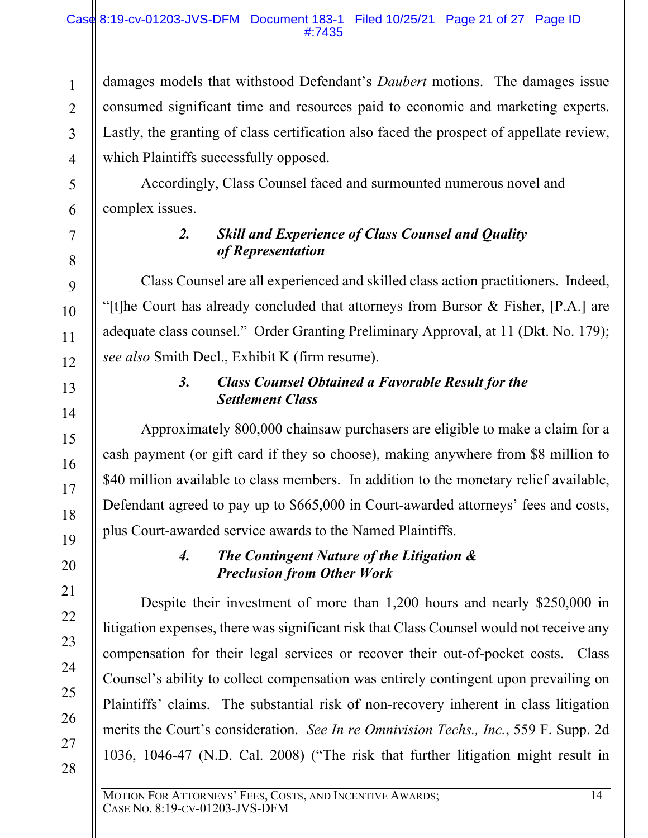### Case 8:19-cv-01203-JVS-DFM Document 183-1 Filed 10/25/21 Page 21 of 27 Page ID #:7435

1

2

3

4

5

6

7

8

9

10

11

12

13

14

15

16

17

18

19

20

21

22

23

24

25

26

27

28

damages models that withstood Defendant's *Daubert* motions. The damages issue consumed significant time and resources paid to economic and marketing experts. Lastly, the granting of class certification also faced the prospect of appellate review, which Plaintiffs successfully opposed.

 Accordingly, Class Counsel faced and surmounted numerous novel and complex issues.

# *2. Skill and Experience of Class Counsel and Quality of Representation*

 Class Counsel are all experienced and skilled class action practitioners. Indeed, "[t]he Court has already concluded that attorneys from Bursor  $\&$  Fisher, [P.A.] are adequate class counsel." Order Granting Preliminary Approval, at 11 (Dkt. No. 179); *see also* Smith Decl., Exhibit K (firm resume).

# *3. Class Counsel Obtained a Favorable Result for the Settlement Class*

 Approximately 800,000 chainsaw purchasers are eligible to make a claim for a cash payment (or gift card if they so choose), making anywhere from \$8 million to \$40 million available to class members. In addition to the monetary relief available, Defendant agreed to pay up to \$665,000 in Court-awarded attorneys' fees and costs, plus Court-awarded service awards to the Named Plaintiffs.

# *4. The Contingent Nature of the Litigation & Preclusion from Other Work*

 Despite their investment of more than 1,200 hours and nearly \$250,000 in litigation expenses, there was significant risk that Class Counsel would not receive any compensation for their legal services or recover their out-of-pocket costs. Class Counsel's ability to collect compensation was entirely contingent upon prevailing on Plaintiffs' claims. The substantial risk of non-recovery inherent in class litigation merits the Court's consideration. *See In re Omnivision Techs., Inc.*, 559 F. Supp. 2d 1036, 1046-47 (N.D. Cal. 2008) ("The risk that further litigation might result in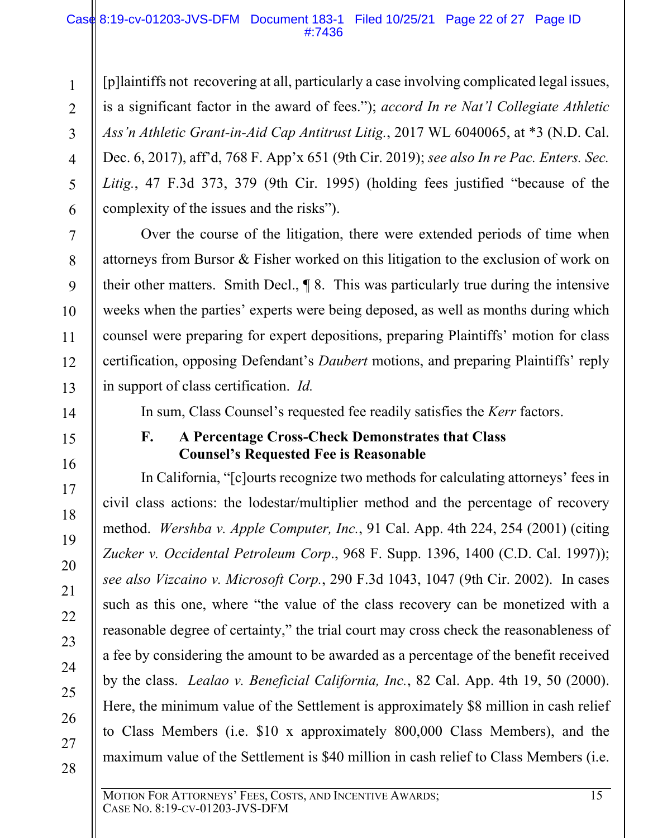### Case 8:19-cv-01203-JVS-DFM Document 183-1 Filed 10/25/21 Page 22 of 27 Page ID #:7436

[p]laintiffs not recovering at all, particularly a case involving complicated legal issues, is a significant factor in the award of fees."); *accord In re Nat'l Collegiate Athletic Ass'n Athletic Grant-in-Aid Cap Antitrust Litig.*, 2017 WL 6040065, at \*3 (N.D. Cal. Dec. 6, 2017), aff'd, 768 F. App'x 651 (9th Cir. 2019); *see also In re Pac. Enters. Sec. Litig.*, 47 F.3d 373, 379 (9th Cir. 1995) (holding fees justified "because of the complexity of the issues and the risks").

 Over the course of the litigation, there were extended periods of time when attorneys from Bursor & Fisher worked on this litigation to the exclusion of work on their other matters. Smith Decl., ¶ 8. This was particularly true during the intensive weeks when the parties' experts were being deposed, as well as months during which counsel were preparing for expert depositions, preparing Plaintiffs' motion for class certification, opposing Defendant's *Daubert* motions, and preparing Plaintiffs' reply in support of class certification. *Id.*

In sum, Class Counsel's requested fee readily satisfies the *Kerr* factors.

## **F. A Percentage Cross-Check Demonstrates that Class Counsel's Requested Fee is Reasonable**

 In California, "[c]ourts recognize two methods for calculating attorneys' fees in civil class actions: the lodestar/multiplier method and the percentage of recovery method. *Wershba v. Apple Computer, Inc.*, 91 Cal. App. 4th 224, 254 (2001) (citing *Zucker v. Occidental Petroleum Corp*., 968 F. Supp. 1396, 1400 (C.D. Cal. 1997)); *see also Vizcaino v. Microsoft Corp.*, 290 F.3d 1043, 1047 (9th Cir. 2002). In cases such as this one, where "the value of the class recovery can be monetized with a reasonable degree of certainty," the trial court may cross check the reasonableness of a fee by considering the amount to be awarded as a percentage of the benefit received by the class. *Lealao v. Beneficial California, Inc.*, 82 Cal. App. 4th 19, 50 (2000). Here, the minimum value of the Settlement is approximately \$8 million in cash relief to Class Members (i.e. \$10 x approximately 800,000 Class Members), and the maximum value of the Settlement is \$40 million in cash relief to Class Members (i.e.

1

2

3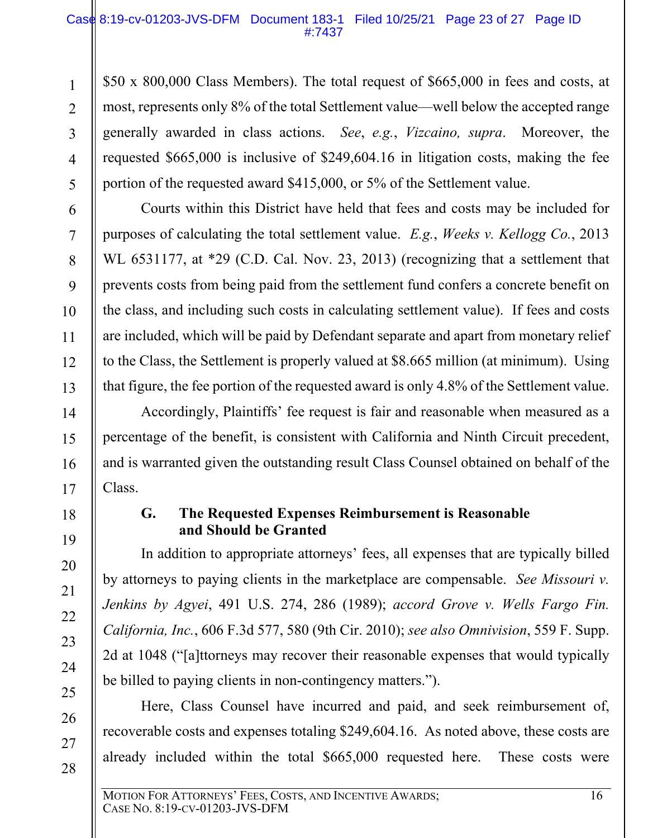2

3

4

5

6

7

8

9

10

11

12

13

14

15

16

17

18

19

20

21

22

23

24

25

26

27

28

\$50 x 800,000 Class Members). The total request of \$665,000 in fees and costs, at most, represents only 8% of the total Settlement value—well below the accepted range generally awarded in class actions. *See*, *e.g.*, *Vizcaino, supra*. Moreover, the requested \$665,000 is inclusive of \$249,604.16 in litigation costs, making the fee portion of the requested award \$415,000, or 5% of the Settlement value.

Courts within this District have held that fees and costs may be included for purposes of calculating the total settlement value. *E.g.*, *Weeks v. Kellogg Co.*, 2013 WL 6531177, at \*29 (C.D. Cal. Nov. 23, 2013) (recognizing that a settlement that prevents costs from being paid from the settlement fund confers a concrete benefit on the class, and including such costs in calculating settlement value). If fees and costs are included, which will be paid by Defendant separate and apart from monetary relief to the Class, the Settlement is properly valued at \$8.665 million (at minimum). Using that figure, the fee portion of the requested award is only 4.8% of the Settlement value.

Accordingly, Plaintiffs' fee request is fair and reasonable when measured as a percentage of the benefit, is consistent with California and Ninth Circuit precedent, and is warranted given the outstanding result Class Counsel obtained on behalf of the Class.

## **G. The Requested Expenses Reimbursement is Reasonable and Should be Granted**

In addition to appropriate attorneys' fees, all expenses that are typically billed by attorneys to paying clients in the marketplace are compensable. *See Missouri v. Jenkins by Agyei*, 491 U.S. 274, 286 (1989); *accord Grove v. Wells Fargo Fin. California, Inc.*, 606 F.3d 577, 580 (9th Cir. 2010); *see also Omnivision*, 559 F. Supp. 2d at 1048 ("[a]ttorneys may recover their reasonable expenses that would typically be billed to paying clients in non-contingency matters.").

 Here, Class Counsel have incurred and paid, and seek reimbursement of, recoverable costs and expenses totaling \$249,604.16. As noted above, these costs are already included within the total \$665,000 requested here. These costs were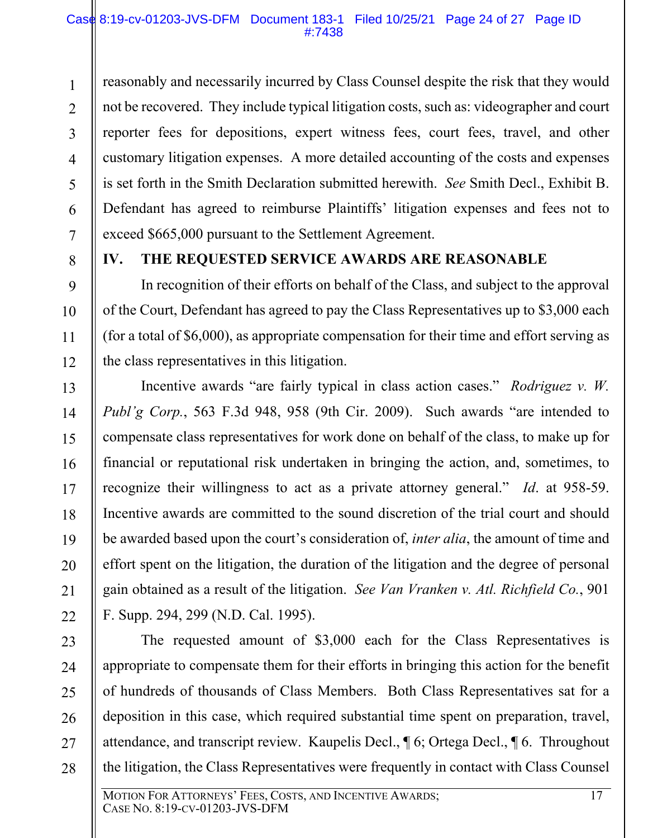reasonably and necessarily incurred by Class Counsel despite the risk that they would not be recovered. They include typical litigation costs, such as: videographer and court reporter fees for depositions, expert witness fees, court fees, travel, and other customary litigation expenses. A more detailed accounting of the costs and expenses is set forth in the Smith Declaration submitted herewith. *See* Smith Decl., Exhibit B. Defendant has agreed to reimburse Plaintiffs' litigation expenses and fees not to exceed \$665,000 pursuant to the Settlement Agreement.

1

2

3

4

5

6

7

8

9

10

11

12

13

14

15

16

17

18

19

20

21

22

23

24

25

26

27

28

## **IV. THE REQUESTED SERVICE AWARDS ARE REASONABLE**

In recognition of their efforts on behalf of the Class, and subject to the approval of the Court, Defendant has agreed to pay the Class Representatives up to \$3,000 each (for a total of \$6,000), as appropriate compensation for their time and effort serving as the class representatives in this litigation.

Incentive awards "are fairly typical in class action cases." *Rodriguez v. W. Publ'g Corp.*, 563 F.3d 948, 958 (9th Cir. 2009). Such awards "are intended to compensate class representatives for work done on behalf of the class, to make up for financial or reputational risk undertaken in bringing the action, and, sometimes, to recognize their willingness to act as a private attorney general." *Id*. at 958-59. Incentive awards are committed to the sound discretion of the trial court and should be awarded based upon the court's consideration of, *inter alia*, the amount of time and effort spent on the litigation, the duration of the litigation and the degree of personal gain obtained as a result of the litigation. *See Van Vranken v. Atl. Richfield Co.*, 901 F. Supp. 294, 299 (N.D. Cal. 1995).

The requested amount of \$3,000 each for the Class Representatives is appropriate to compensate them for their efforts in bringing this action for the benefit of hundreds of thousands of Class Members. Both Class Representatives sat for a deposition in this case, which required substantial time spent on preparation, travel, attendance, and transcript review. Kaupelis Decl., ¶ 6; Ortega Decl., ¶ 6. Throughout the litigation, the Class Representatives were frequently in contact with Class Counsel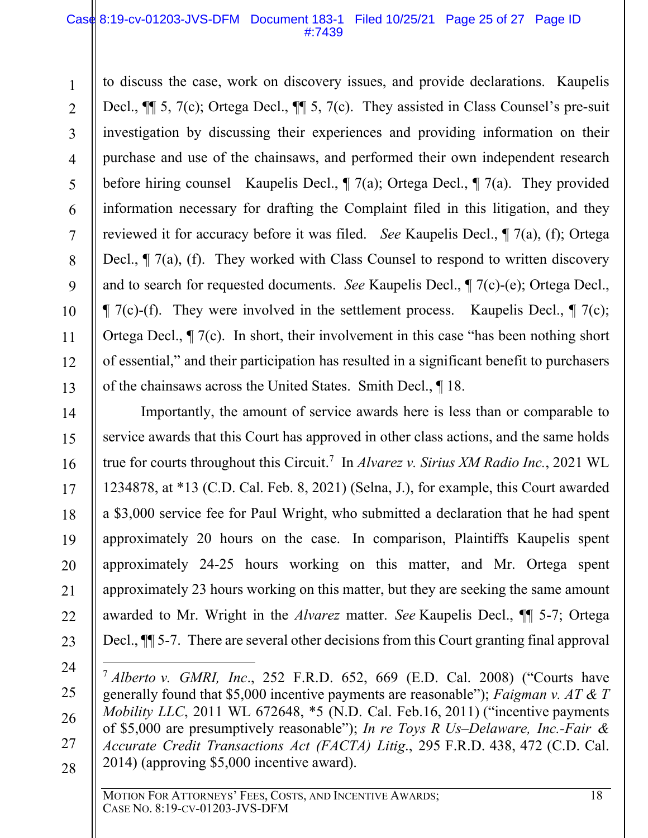### Case 8:19-cv-01203-JVS-DFM Document 183-1 Filed 10/25/21 Page 25 of 27 Page ID #:7439

1

2

3

4

5

6

7

8

9

10

11

12

13

14

15

16

17

18

19

20

21

22

23

to discuss the case, work on discovery issues, and provide declarations. Kaupelis Decl., ¶¶ 5, 7(c); Ortega Decl., ¶¶ 5, 7(c). They assisted in Class Counsel's pre-suit investigation by discussing their experiences and providing information on their purchase and use of the chainsaws, and performed their own independent research before hiring counsel Kaupelis Decl., ¶ 7(a); Ortega Decl., ¶ 7(a). They provided information necessary for drafting the Complaint filed in this litigation, and they reviewed it for accuracy before it was filed. *See* Kaupelis Decl., ¶ 7(a), (f); Ortega Decl., ¶ 7(a), (f). They worked with Class Counsel to respond to written discovery and to search for requested documents. *See* Kaupelis Decl., ¶ 7(c)-(e); Ortega Decl.,  $\P$  7(c)-(f). They were involved in the settlement process. Kaupelis Decl.,  $\P$  7(c); Ortega Decl., ¶ 7(c). In short, their involvement in this case "has been nothing short of essential," and their participation has resulted in a significant benefit to purchasers of the chainsaws across the United States. Smith Decl., ¶ 18.

 Importantly, the amount of service awards here is less than or comparable to service awards that this Court has approved in other class actions, and the same holds true for courts throughout this Circuit.7 In *Alvarez v. Sirius XM Radio Inc.*, 2021 WL 1234878, at \*13 (C.D. Cal. Feb. 8, 2021) (Selna, J.), for example, this Court awarded a \$3,000 service fee for Paul Wright, who submitted a declaration that he had spent approximately 20 hours on the case. In comparison, Plaintiffs Kaupelis spent approximately 24-25 hours working on this matter, and Mr. Ortega spent approximately 23 hours working on this matter, but they are seeking the same amount awarded to Mr. Wright in the *Alvarez* matter. *See* Kaupelis Decl., ¶¶ 5-7; Ortega Decl.,  $\P$  5-7. There are several other decisions from this Court granting final approval

<sup>24</sup>  25 26 27 28 <sup>7</sup> *Alberto v. GMRI, Inc*., 252 F.R.D. 652, 669 (E.D. Cal. 2008) ("Courts have generally found that \$5,000 incentive payments are reasonable"); *Faigman v. AT & T Mobility LLC*, 2011 WL 672648, \*5 (N.D. Cal. Feb.16, 2011) ("incentive payments of \$5,000 are presumptively reasonable"); *In re Toys R Us–Delaware, Inc.-Fair & Accurate Credit Transactions Act (FACTA) Litig*., 295 F.R.D. 438, 472 (C.D. Cal. 2014) (approving \$5,000 incentive award).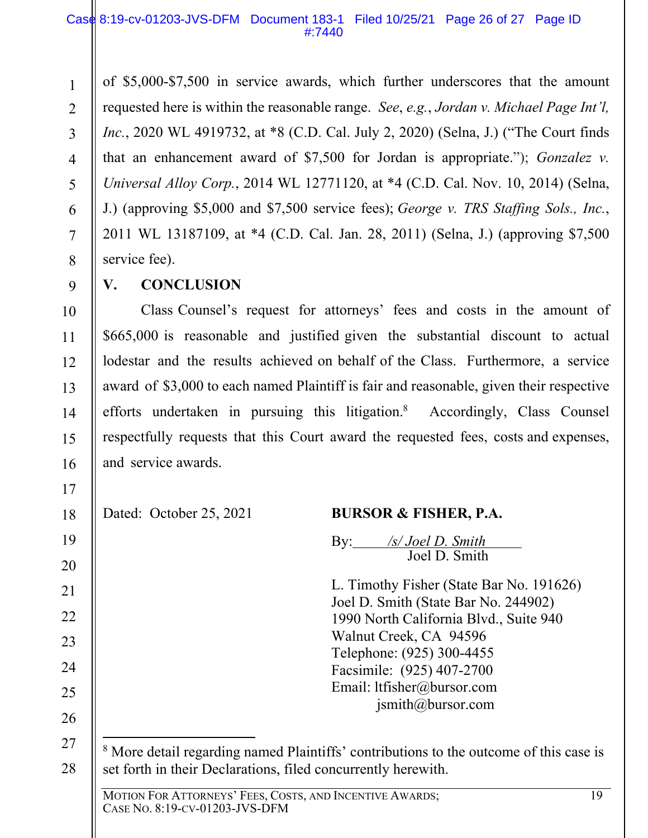#### Case 8:19-cv-01203-JVS-DFM Document 183-1 Filed 10/25/21 Page 26 of 27 Page ID #:7440

of \$5,000-\$7,500 in service awards, which further underscores that the amount requested here is within the reasonable range. *See*, *e.g.*, *Jordan v. Michael Page Int'l, Inc.*, 2020 WL 4919732, at \*8 (C.D. Cal. July 2, 2020) (Selna, J.) ("The Court finds that an enhancement award of \$7,500 for Jordan is appropriate."); *Gonzalez v. Universal Alloy Corp.*, 2014 WL 12771120, at \*4 (C.D. Cal. Nov. 10, 2014) (Selna, J.) (approving \$5,000 and \$7,500 service fees); *George v. TRS Staffing Sols., Inc.*, 2011 WL 13187109, at \*4 (C.D. Cal. Jan. 28, 2011) (Selna, J.) (approving \$7,500 service fee).

8

9

10

11

12

13

14

15

16

17

1

2

3

4

5

6

7

# **V. CONCLUSION**

Class Counsel's request for attorneys' fees and costs in the amount of \$665,000 is reasonable and justified given the substantial discount to actual lodestar and the results achieved on behalf of the Class. Furthermore, a service award of \$3,000 to each named Plaintiff is fair and reasonable, given their respective efforts undertaken in pursuing this litigation.<sup>8</sup> Accordingly, Class Counsel respectfully requests that this Court award the requested fees, costs and expenses, and service awards.

| 18 | Dated: October 25, 2021                                       | <b>BURSOR &amp; FISHER, P.A.</b>                                                                  |    |
|----|---------------------------------------------------------------|---------------------------------------------------------------------------------------------------|----|
| 19 |                                                               | /s/ Joel D. Smith<br>$\gamma$ :                                                                   |    |
| 20 |                                                               | Joel D. Smith                                                                                     |    |
| 21 |                                                               | L. Timothy Fisher (State Bar No. 191626)                                                          |    |
|    |                                                               | Joel D. Smith (State Bar No. 244902)<br>1990 North California Blvd., Suite 940                    |    |
|    |                                                               | Walnut Creek, CA 94596                                                                            |    |
|    |                                                               | Telephone: (925) 300-4455<br>Facsimile: (925) 407-2700                                            |    |
|    |                                                               | Email: ltfisher@bursor.com<br>$j$ smith@bursor.com                                                |    |
|    |                                                               |                                                                                                   |    |
|    | set forth in their Declarations, filed concurrently herewith. | <sup>8</sup> More detail regarding named Plaintiffs' contributions to the outcome of this case is |    |
|    | MOTION FOR ATTORNEYS' FEES, COSTS, AND INCENTIVE AWARDS;      |                                                                                                   | 19 |

CASE NO. 8:19-CV-01203-JVS-DFM